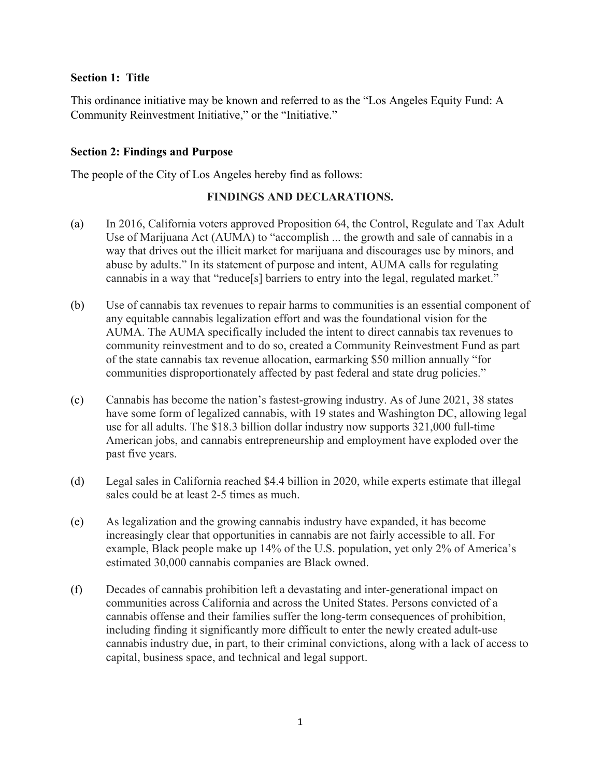### **Section 1: Title**

This ordinance initiative may be known and referred to as the "Los Angeles Equity Fund: A Community Reinvestment Initiative," or the "Initiative."

### **Section 2: Findings and Purpose**

The people of the City of Los Angeles hereby find as follows:

### **FINDINGS AND DECLARATIONS.**

- (a) In 2016, California voters approved Proposition 64, the Control, Regulate and Tax Adult Use of Marijuana Act (AUMA) to "accomplish ... the growth and sale of cannabis in a way that drives out the illicit market for marijuana and discourages use by minors, and abuse by adults." In its statement of purpose and intent, AUMA calls for regulating cannabis in a way that "reduce[s] barriers to entry into the legal, regulated market."
- (b) Use of cannabis tax revenues to repair harms to communities is an essential component of any equitable cannabis legalization effort and was the foundational vision for the AUMA. The AUMA specifically included the intent to direct cannabis tax revenues to community reinvestment and to do so, created a Community Reinvestment Fund as part of the state cannabis tax revenue allocation, earmarking \$50 million annually "for communities disproportionately affected by past federal and state drug policies."
- (c) Cannabis has become the nation's fastest-growing industry. As of June 2021, 38 states have some form of legalized cannabis, with 19 states and Washington DC, allowing legal use for all adults. The \$18.3 billion dollar industry now supports 321,000 full-time American jobs, and cannabis entrepreneurship and employment have exploded over the past five years.
- (d) Legal sales in California reached \$4.4 billion in 2020, while experts estimate that illegal sales could be at least 2-5 times as much.
- (e) As legalization and the growing cannabis industry have expanded, it has become increasingly clear that opportunities in cannabis are not fairly accessible to all. For example, Black people make up 14% of the U.S. population, yet only 2% of America's estimated 30,000 cannabis companies are Black owned.
- (f) Decades of cannabis prohibition left a devastating and inter-generational impact on communities across California and across the United States. Persons convicted of a cannabis offense and their families suffer the long-term consequences of prohibition, including finding it significantly more difficult to enter the newly created adult-use cannabis industry due, in part, to their criminal convictions, along with a lack of access to capital, business space, and technical and legal support.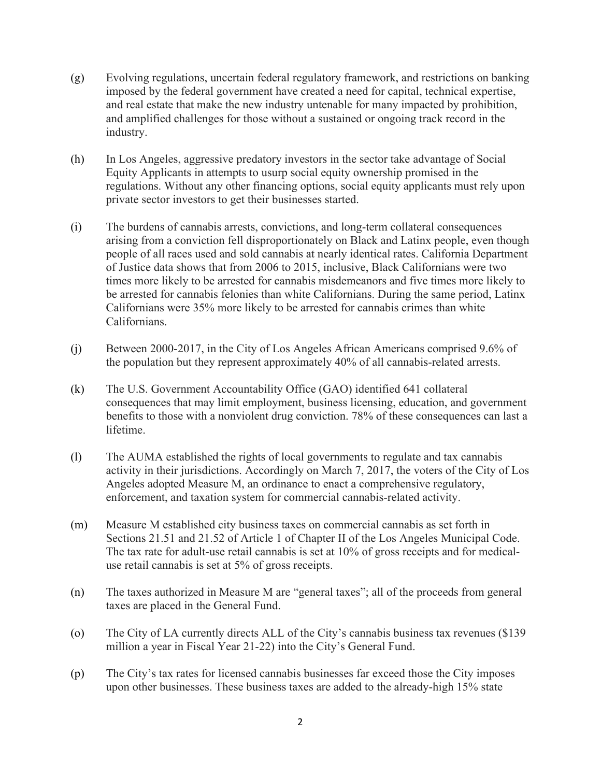- (g) Evolving regulations, uncertain federal regulatory framework, and restrictions on banking imposed by the federal government have created a need for capital, technical expertise, and real estate that make the new industry untenable for many impacted by prohibition, and amplified challenges for those without a sustained or ongoing track record in the industry.
- (h) In Los Angeles, aggressive predatory investors in the sector take advantage of Social Equity Applicants in attempts to usurp social equity ownership promised in the regulations. Without any other financing options, social equity applicants must rely upon private sector investors to get their businesses started.
- (i) The burdens of cannabis arrests, convictions, and long-term collateral consequences arising from a conviction fell disproportionately on Black and Latinx people, even though people of all races used and sold cannabis at nearly identical rates. California Department of Justice data shows that from 2006 to 2015, inclusive, Black Californians were two times more likely to be arrested for cannabis misdemeanors and five times more likely to be arrested for cannabis felonies than white Californians. During the same period, Latinx Californians were 35% more likely to be arrested for cannabis crimes than white Californians.
- (j) Between 2000-2017, in the City of Los Angeles African Americans comprised 9.6% of the population but they represent approximately 40% of all cannabis-related arrests.
- (k) The U.S. Government Accountability Office (GAO) identified 641 collateral consequences that may limit employment, business licensing, education, and government benefits to those with a nonviolent drug conviction. 78% of these consequences can last a lifetime.
- (l) The AUMA established the rights of local governments to regulate and tax cannabis activity in their jurisdictions. Accordingly on March 7, 2017, the voters of the City of Los Angeles adopted Measure M, an ordinance to enact a comprehensive regulatory, enforcement, and taxation system for commercial cannabis-related activity.
- (m) Measure M established city business taxes on commercial cannabis as set forth in Sections 21.51 and 21.52 of Article 1 of Chapter II of the Los Angeles Municipal Code. The tax rate for adult-use retail cannabis is set at 10% of gross receipts and for medicaluse retail cannabis is set at 5% of gross receipts.
- (n) The taxes authorized in Measure M are "general taxes"; all of the proceeds from general taxes are placed in the General Fund.
- (o) The City of LA currently directs ALL of the City's cannabis business tax revenues (\$139 million a year in Fiscal Year 21-22) into the City's General Fund.
- (p) The City's tax rates for licensed cannabis businesses far exceed those the City imposes upon other businesses. These business taxes are added to the already-high 15% state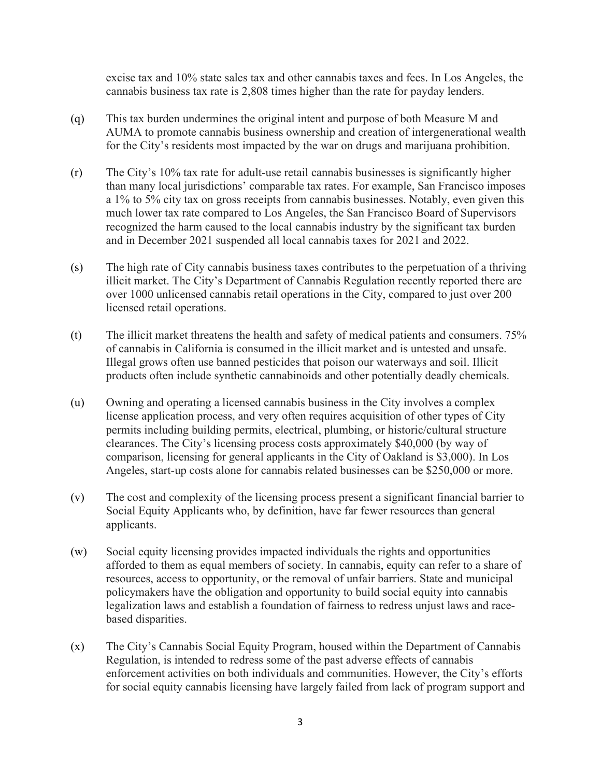excise tax and 10% state sales tax and other cannabis taxes and fees. In Los Angeles, the cannabis business tax rate is 2,808 times higher than the rate for payday lenders.

- (q) This tax burden undermines the original intent and purpose of both Measure M and AUMA to promote cannabis business ownership and creation of intergenerational wealth for the City's residents most impacted by the war on drugs and marijuana prohibition.
- (r) The City's 10% tax rate for adult-use retail cannabis businesses is significantly higher than many local jurisdictions' comparable tax rates. For example, San Francisco imposes a 1% to 5% city tax on gross receipts from cannabis businesses. Notably, even given this much lower tax rate compared to Los Angeles, the San Francisco Board of Supervisors recognized the harm caused to the local cannabis industry by the significant tax burden and in December 2021 suspended all local cannabis taxes for 2021 and 2022.
- (s) The high rate of City cannabis business taxes contributes to the perpetuation of a thriving illicit market. The City's Department of Cannabis Regulation recently reported there are over 1000 unlicensed cannabis retail operations in the City, compared to just over 200 licensed retail operations.
- (t) The illicit market threatens the health and safety of medical patients and consumers. 75% of cannabis in California is consumed in the illicit market and is untested and unsafe. Illegal grows often use banned pesticides that poison our waterways and soil. Illicit products often include synthetic cannabinoids and other potentially deadly chemicals.
- (u) Owning and operating a licensed cannabis business in the City involves a complex license application process, and very often requires acquisition of other types of City permits including building permits, electrical, plumbing, or historic/cultural structure clearances. The City's licensing process costs approximately \$40,000 (by way of comparison, licensing for general applicants in the City of Oakland is \$3,000). In Los Angeles, start-up costs alone for cannabis related businesses can be \$250,000 or more.
- (v) The cost and complexity of the licensing process present a significant financial barrier to Social Equity Applicants who, by definition, have far fewer resources than general applicants.
- (w) Social equity licensing provides impacted individuals the rights and opportunities afforded to them as equal members of society. In cannabis, equity can refer to a share of resources, access to opportunity, or the removal of unfair barriers. State and municipal policymakers have the obligation and opportunity to build social equity into cannabis legalization laws and establish a foundation of fairness to redress unjust laws and racebased disparities.
- (x) The City's Cannabis Social Equity Program, housed within the Department of Cannabis Regulation, is intended to redress some of the past adverse effects of cannabis enforcement activities on both individuals and communities. However, the City's efforts for social equity cannabis licensing have largely failed from lack of program support and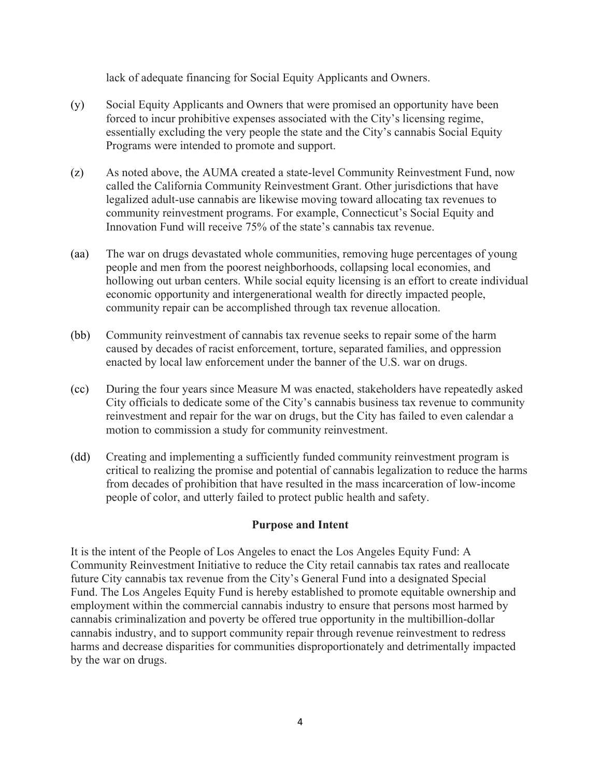lack of adequate financing for Social Equity Applicants and Owners.

- (y) Social Equity Applicants and Owners that were promised an opportunity have been forced to incur prohibitive expenses associated with the City's licensing regime, essentially excluding the very people the state and the City's cannabis Social Equity Programs were intended to promote and support.
- (z) As noted above, the AUMA created a state-level Community Reinvestment Fund, now called the California Community Reinvestment Grant. Other jurisdictions that have legalized adult-use cannabis are likewise moving toward allocating tax revenues to community reinvestment programs. For example, Connecticut's Social Equity and Innovation Fund will receive 75% of the state's cannabis tax revenue.
- (aa) The war on drugs devastated whole communities, removing huge percentages of young people and men from the poorest neighborhoods, collapsing local economies, and hollowing out urban centers. While social equity licensing is an effort to create individual economic opportunity and intergenerational wealth for directly impacted people, community repair can be accomplished through tax revenue allocation.
- (bb) Community reinvestment of cannabis tax revenue seeks to repair some of the harm caused by decades of racist enforcement, torture, separated families, and oppression enacted by local law enforcement under the banner of the U.S. war on drugs.
- (cc) During the four years since Measure M was enacted, stakeholders have repeatedly asked City officials to dedicate some of the City's cannabis business tax revenue to community reinvestment and repair for the war on drugs, but the City has failed to even calendar a motion to commission a study for community reinvestment.
- (dd) Creating and implementing a sufficiently funded community reinvestment program is critical to realizing the promise and potential of cannabis legalization to reduce the harms from decades of prohibition that have resulted in the mass incarceration of low-income people of color, and utterly failed to protect public health and safety.

### **Purpose and Intent**

It is the intent of the People of Los Angeles to enact the Los Angeles Equity Fund: A Community Reinvestment Initiative to reduce the City retail cannabis tax rates and reallocate future City cannabis tax revenue from the City's General Fund into a designated Special Fund. The Los Angeles Equity Fund is hereby established to promote equitable ownership and employment within the commercial cannabis industry to ensure that persons most harmed by cannabis criminalization and poverty be offered true opportunity in the multibillion-dollar cannabis industry, and to support community repair through revenue reinvestment to redress harms and decrease disparities for communities disproportionately and detrimentally impacted by the war on drugs.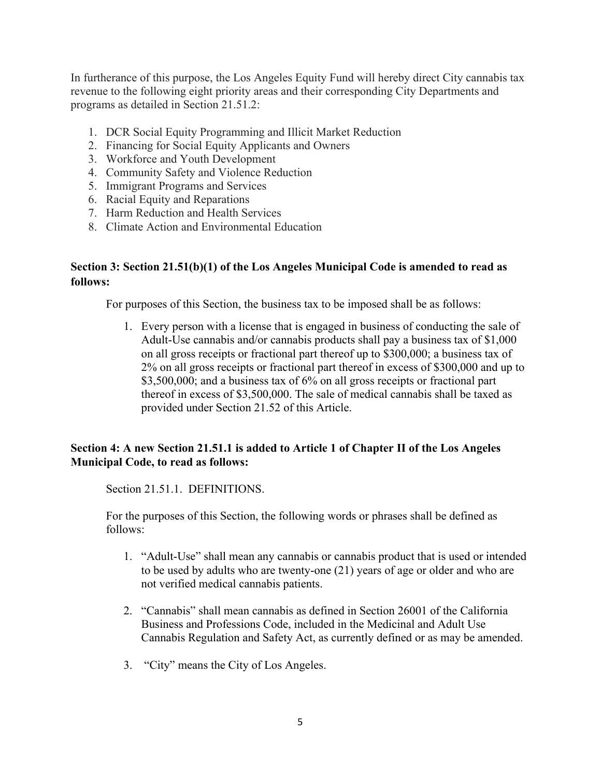In furtherance of this purpose, the Los Angeles Equity Fund will hereby direct City cannabis tax revenue to the following eight priority areas and their corresponding City Departments and programs as detailed in Section 21.51.2:

- 1. DCR Social Equity Programming and Illicit Market Reduction
- 2. Financing for Social Equity Applicants and Owners
- 3. Workforce and Youth Development
- 4. Community Safety and Violence Reduction
- 5. Immigrant Programs and Services
- 6. Racial Equity and Reparations
- 7. Harm Reduction and Health Services
- 8. Climate Action and Environmental Education

# **Section 3: Section 21.51(b)(1) of the Los Angeles Municipal Code is amended to read as follows:**

For purposes of this Section, the business tax to be imposed shall be as follows:

1. Every person with a license that is engaged in business of conducting the sale of Adult-Use cannabis and/or cannabis products shall pay a business tax of \$1,000 on all gross receipts or fractional part thereof up to \$300,000; a business tax of 2% on all gross receipts or fractional part thereof in excess of \$300,000 and up to \$3,500,000; and a business tax of 6% on all gross receipts or fractional part thereof in excess of \$3,500,000. The sale of medical cannabis shall be taxed as provided under Section 21.52 of this Article.

# **Section 4: A new Section 21.51.1 is added to Article 1 of Chapter II of the Los Angeles Municipal Code, to read as follows:**

Section 21.51.1. DEFINITIONS.

For the purposes of this Section, the following words or phrases shall be defined as follows:

- 1. "Adult-Use" shall mean any cannabis or cannabis product that is used or intended to be used by adults who are twenty-one (21) years of age or older and who are not verified medical cannabis patients.
- 2. "Cannabis" shall mean cannabis as defined in Section 26001 of the California Business and Professions Code, included in the Medicinal and Adult Use Cannabis Regulation and Safety Act, as currently defined or as may be amended.
- 3. "City" means the City of Los Angeles.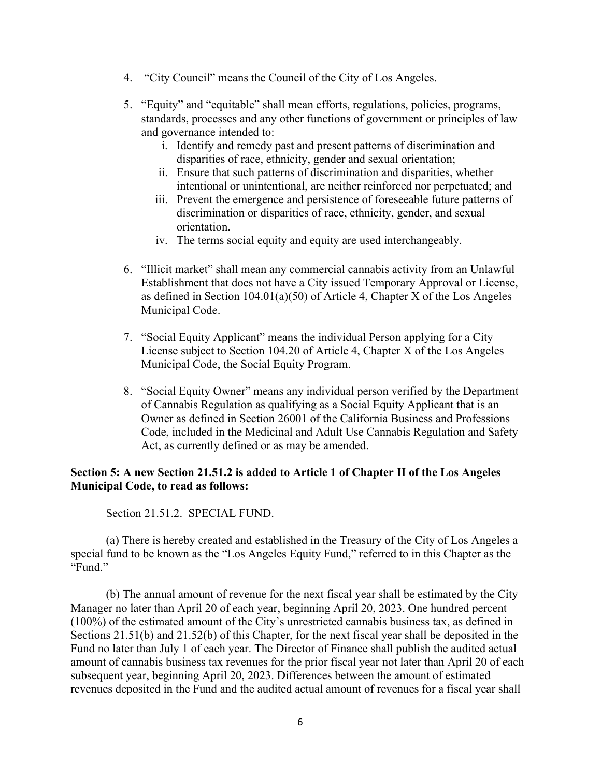- 4. "City Council" means the Council of the City of Los Angeles.
- 5. "Equity" and "equitable" shall mean efforts, regulations, policies, programs, standards, processes and any other functions of government or principles of law and governance intended to:
	- i. Identify and remedy past and present patterns of discrimination and disparities of race, ethnicity, gender and sexual orientation;
	- ii. Ensure that such patterns of discrimination and disparities, whether intentional or unintentional, are neither reinforced nor perpetuated; and
	- iii. Prevent the emergence and persistence of foreseeable future patterns of discrimination or disparities of race, ethnicity, gender, and sexual orientation.
	- iv. The terms social equity and equity are used interchangeably.
- 6. "Illicit market" shall mean any commercial cannabis activity from an Unlawful Establishment that does not have a City issued Temporary Approval or License, as defined in Section 104.01(a)(50) of Article 4, Chapter X of the Los Angeles Municipal Code.
- 7. "Social Equity Applicant" means the individual Person applying for a City License subject to Section 104.20 of Article 4, Chapter X of the Los Angeles Municipal Code, the Social Equity Program.
- 8. "Social Equity Owner" means any individual person verified by the Department of Cannabis Regulation as qualifying as a Social Equity Applicant that is an Owner as defined in Section 26001 of the California Business and Professions Code, included in the Medicinal and Adult Use Cannabis Regulation and Safety Act, as currently defined or as may be amended.

# **Section 5: A new Section 21.51.2 is added to Article 1 of Chapter II of the Los Angeles Municipal Code, to read as follows:**

Section 21.51.2. SPECIAL FUND.

(a) There is hereby created and established in the Treasury of the City of Los Angeles a special fund to be known as the "Los Angeles Equity Fund," referred to in this Chapter as the "Fund."

(b) The annual amount of revenue for the next fiscal year shall be estimated by the City Manager no later than April 20 of each year, beginning April 20, 2023. One hundred percent (100%) of the estimated amount of the City's unrestricted cannabis business tax, as defined in Sections 21.51(b) and 21.52(b) of this Chapter, for the next fiscal year shall be deposited in the Fund no later than July 1 of each year. The Director of Finance shall publish the audited actual amount of cannabis business tax revenues for the prior fiscal year not later than April 20 of each subsequent year, beginning April 20, 2023. Differences between the amount of estimated revenues deposited in the Fund and the audited actual amount of revenues for a fiscal year shall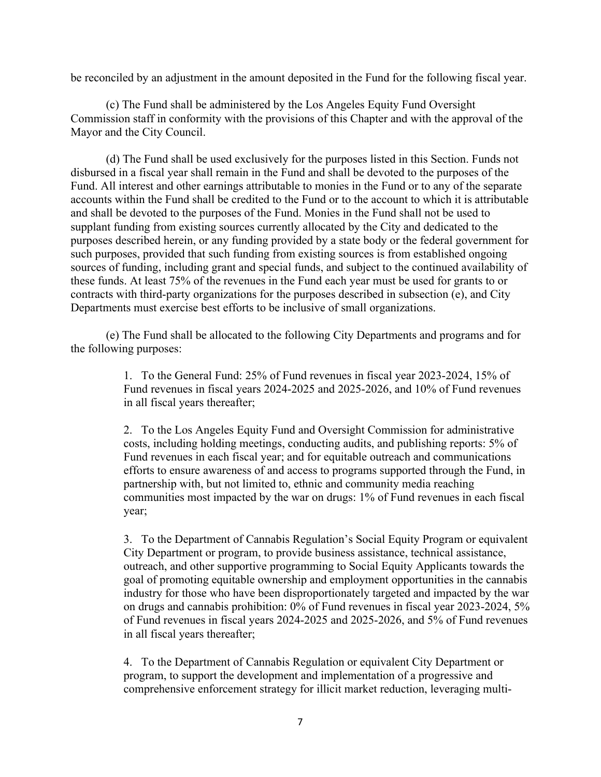be reconciled by an adjustment in the amount deposited in the Fund for the following fiscal year.

(c) The Fund shall be administered by the Los Angeles Equity Fund Oversight Commission staff in conformity with the provisions of this Chapter and with the approval of the Mayor and the City Council.

(d) The Fund shall be used exclusively for the purposes listed in this Section. Funds not disbursed in a fiscal year shall remain in the Fund and shall be devoted to the purposes of the Fund. All interest and other earnings attributable to monies in the Fund or to any of the separate accounts within the Fund shall be credited to the Fund or to the account to which it is attributable and shall be devoted to the purposes of the Fund. Monies in the Fund shall not be used to supplant funding from existing sources currently allocated by the City and dedicated to the purposes described herein, or any funding provided by a state body or the federal government for such purposes, provided that such funding from existing sources is from established ongoing sources of funding, including grant and special funds, and subject to the continued availability of these funds. At least 75% of the revenues in the Fund each year must be used for grants to or contracts with third-party organizations for the purposes described in subsection (e), and City Departments must exercise best efforts to be inclusive of small organizations.

(e) The Fund shall be allocated to the following City Departments and programs and for the following purposes:

> 1. To the General Fund: 25% of Fund revenues in fiscal year 2023-2024, 15% of Fund revenues in fiscal years 2024-2025 and 2025-2026, and 10% of Fund revenues in all fiscal years thereafter;

2. To the Los Angeles Equity Fund and Oversight Commission for administrative costs, including holding meetings, conducting audits, and publishing reports: 5% of Fund revenues in each fiscal year; and for equitable outreach and communications efforts to ensure awareness of and access to programs supported through the Fund, in partnership with, but not limited to, ethnic and community media reaching communities most impacted by the war on drugs: 1% of Fund revenues in each fiscal year;

3. To the Department of Cannabis Regulation's Social Equity Program or equivalent City Department or program, to provide business assistance, technical assistance, outreach, and other supportive programming to Social Equity Applicants towards the goal of promoting equitable ownership and employment opportunities in the cannabis industry for those who have been disproportionately targeted and impacted by the war on drugs and cannabis prohibition: 0% of Fund revenues in fiscal year 2023-2024, 5% of Fund revenues in fiscal years 2024-2025 and 2025-2026, and 5% of Fund revenues in all fiscal years thereafter;

4. To the Department of Cannabis Regulation or equivalent City Department or program, to support the development and implementation of a progressive and comprehensive enforcement strategy for illicit market reduction, leveraging multi-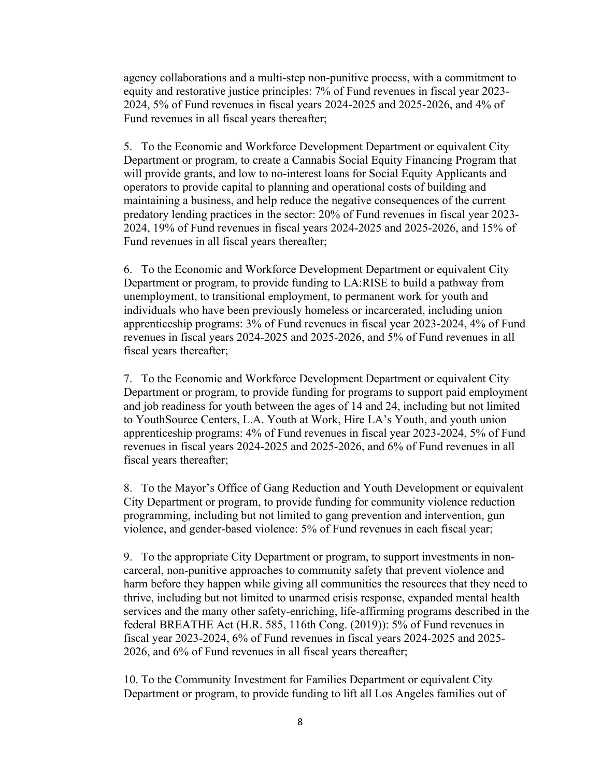agency collaborations and a multi-step non-punitive process, with a commitment to equity and restorative justice principles: 7% of Fund revenues in fiscal year 2023- 2024, 5% of Fund revenues in fiscal years 2024-2025 and 2025-2026, and 4% of Fund revenues in all fiscal years thereafter;

5. To the Economic and Workforce Development Department or equivalent City Department or program, to create a Cannabis Social Equity Financing Program that will provide grants, and low to no-interest loans for Social Equity Applicants and operators to provide capital to planning and operational costs of building and maintaining a business, and help reduce the negative consequences of the current predatory lending practices in the sector: 20% of Fund revenues in fiscal year 2023- 2024, 19% of Fund revenues in fiscal years 2024-2025 and 2025-2026, and 15% of Fund revenues in all fiscal years thereafter;

6. To the Economic and Workforce Development Department or equivalent City Department or program, to provide funding to LA:RISE to build a pathway from unemployment, to transitional employment, to permanent work for youth and individuals who have been previously homeless or incarcerated, including union apprenticeship programs: 3% of Fund revenues in fiscal year 2023-2024, 4% of Fund revenues in fiscal years 2024-2025 and 2025-2026, and 5% of Fund revenues in all fiscal years thereafter;

7. To the Economic and Workforce Development Department or equivalent City Department or program, to provide funding for programs to support paid employment and job readiness for youth between the ages of 14 and 24, including but not limited to YouthSource Centers, L.A. Youth at Work, Hire LA's Youth, and youth union apprenticeship programs: 4% of Fund revenues in fiscal year 2023-2024, 5% of Fund revenues in fiscal years 2024-2025 and 2025-2026, and 6% of Fund revenues in all fiscal years thereafter;

8. To the Mayor's Office of Gang Reduction and Youth Development or equivalent City Department or program, to provide funding for community violence reduction programming, including but not limited to gang prevention and intervention, gun violence, and gender-based violence: 5% of Fund revenues in each fiscal year;

9. To the appropriate City Department or program, to support investments in noncarceral, non-punitive approaches to community safety that prevent violence and harm before they happen while giving all communities the resources that they need to thrive, including but not limited to unarmed crisis response, expanded mental health services and the many other safety-enriching, life-affirming programs described in the federal BREATHE Act (H.R. 585, 116th Cong. (2019)): 5% of Fund revenues in fiscal year 2023-2024, 6% of Fund revenues in fiscal years 2024-2025 and 2025- 2026, and 6% of Fund revenues in all fiscal years thereafter;

10. To the Community Investment for Families Department or equivalent City Department or program, to provide funding to lift all Los Angeles families out of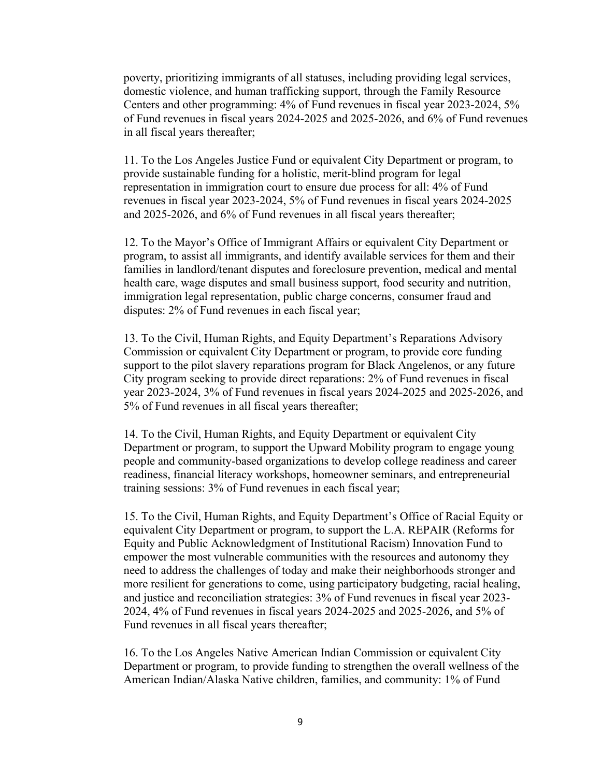poverty, prioritizing immigrants of all statuses, including providing legal services, domestic violence, and human trafficking support, through the Family Resource Centers and other programming: 4% of Fund revenues in fiscal year 2023-2024, 5% of Fund revenues in fiscal years 2024-2025 and 2025-2026, and 6% of Fund revenues in all fiscal years thereafter;

11. To the Los Angeles Justice Fund or equivalent City Department or program, to provide sustainable funding for a holistic, merit-blind program for legal representation in immigration court to ensure due process for all: 4% of Fund revenues in fiscal year 2023-2024, 5% of Fund revenues in fiscal years 2024-2025 and 2025-2026, and 6% of Fund revenues in all fiscal years thereafter;

12. To the Mayor's Office of Immigrant Affairs or equivalent City Department or program, to assist all immigrants, and identify available services for them and their families in landlord/tenant disputes and foreclosure prevention, medical and mental health care, wage disputes and small business support, food security and nutrition, immigration legal representation, public charge concerns, consumer fraud and disputes: 2% of Fund revenues in each fiscal year;

13. To the Civil, Human Rights, and Equity Department's Reparations Advisory Commission or equivalent City Department or program, to provide core funding support to the pilot slavery reparations program for Black Angelenos, or any future City program seeking to provide direct reparations: 2% of Fund revenues in fiscal year 2023-2024, 3% of Fund revenues in fiscal years 2024-2025 and 2025-2026, and 5% of Fund revenues in all fiscal years thereafter;

14. To the Civil, Human Rights, and Equity Department or equivalent City Department or program, to support the Upward Mobility program to engage young people and community-based organizations to develop college readiness and career readiness, financial literacy workshops, homeowner seminars, and entrepreneurial training sessions: 3% of Fund revenues in each fiscal year;

15. To the Civil, Human Rights, and Equity Department's Office of Racial Equity or equivalent City Department or program, to support the L.A. REPAIR (Reforms for Equity and Public Acknowledgment of Institutional Racism) Innovation Fund to empower the most vulnerable communities with the resources and autonomy they need to address the challenges of today and make their neighborhoods stronger and more resilient for generations to come, using participatory budgeting, racial healing, and justice and reconciliation strategies: 3% of Fund revenues in fiscal year 2023- 2024, 4% of Fund revenues in fiscal years 2024-2025 and 2025-2026, and 5% of Fund revenues in all fiscal years thereafter;

16. To the Los Angeles Native American Indian Commission or equivalent City Department or program, to provide funding to strengthen the overall wellness of the American Indian/Alaska Native children, families, and community: 1% of Fund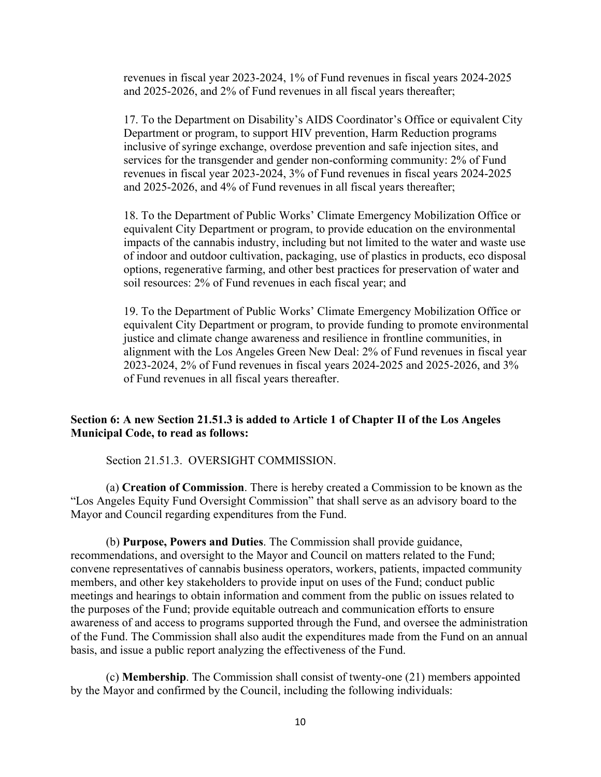revenues in fiscal year 2023-2024, 1% of Fund revenues in fiscal years 2024-2025 and 2025-2026, and 2% of Fund revenues in all fiscal years thereafter;

17. To the Department on Disability's AIDS Coordinator's Office or equivalent City Department or program, to support HIV prevention, Harm Reduction programs inclusive of syringe exchange, overdose prevention and safe injection sites, and services for the transgender and gender non-conforming community: 2% of Fund revenues in fiscal year 2023-2024, 3% of Fund revenues in fiscal years 2024-2025 and 2025-2026, and 4% of Fund revenues in all fiscal years thereafter;

18. To the Department of Public Works' Climate Emergency Mobilization Office or equivalent City Department or program, to provide education on the environmental impacts of the cannabis industry, including but not limited to the water and waste use of indoor and outdoor cultivation, packaging, use of plastics in products, eco disposal options, regenerative farming, and other best practices for preservation of water and soil resources: 2% of Fund revenues in each fiscal year; and

19. To the Department of Public Works' Climate Emergency Mobilization Office or equivalent City Department or program, to provide funding to promote environmental justice and climate change awareness and resilience in frontline communities, in alignment with the Los Angeles Green New Deal: 2% of Fund revenues in fiscal year 2023-2024, 2% of Fund revenues in fiscal years 2024-2025 and 2025-2026, and 3% of Fund revenues in all fiscal years thereafter.

#### **Section 6: A new Section 21.51.3 is added to Article 1 of Chapter II of the Los Angeles Municipal Code, to read as follows:**

Section 21.51.3. OVERSIGHT COMMISSION.

(a) **Creation of Commission**. There is hereby created a Commission to be known as the "Los Angeles Equity Fund Oversight Commission" that shall serve as an advisory board to the Mayor and Council regarding expenditures from the Fund.

(b) **Purpose, Powers and Duties**. The Commission shall provide guidance, recommendations, and oversight to the Mayor and Council on matters related to the Fund; convene representatives of cannabis business operators, workers, patients, impacted community members, and other key stakeholders to provide input on uses of the Fund; conduct public meetings and hearings to obtain information and comment from the public on issues related to the purposes of the Fund; provide equitable outreach and communication efforts to ensure awareness of and access to programs supported through the Fund, and oversee the administration of the Fund. The Commission shall also audit the expenditures made from the Fund on an annual basis, and issue a public report analyzing the effectiveness of the Fund.

(c) **Membership**. The Commission shall consist of twenty-one (21) members appointed by the Mayor and confirmed by the Council, including the following individuals: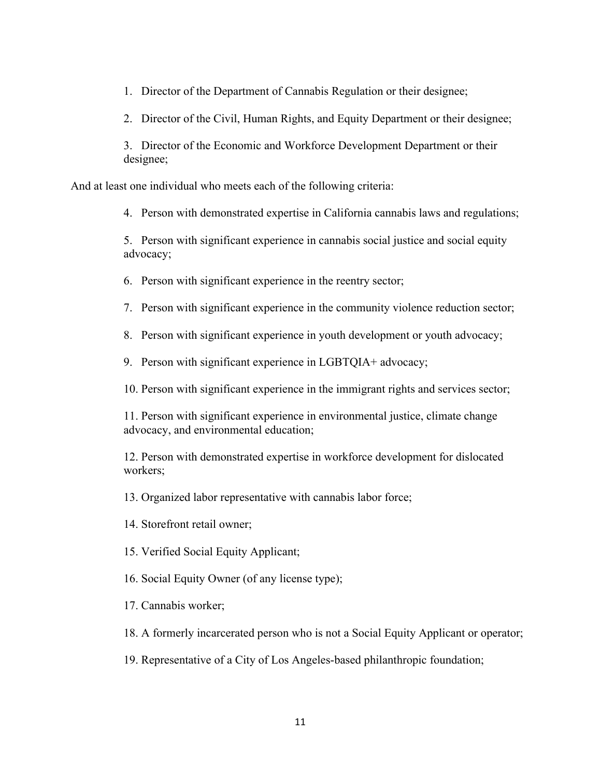1. Director of the Department of Cannabis Regulation or their designee;

2. Director of the Civil, Human Rights, and Equity Department or their designee;

3. Director of the Economic and Workforce Development Department or their designee;

And at least one individual who meets each of the following criteria:

4. Person with demonstrated expertise in California cannabis laws and regulations;

5. Person with significant experience in cannabis social justice and social equity advocacy;

6. Person with significant experience in the reentry sector;

7. Person with significant experience in the community violence reduction sector;

8. Person with significant experience in youth development or youth advocacy;

9. Person with significant experience in LGBTQIA+ advocacy;

10. Person with significant experience in the immigrant rights and services sector;

11. Person with significant experience in environmental justice, climate change advocacy, and environmental education;

12. Person with demonstrated expertise in workforce development for dislocated workers;

13. Organized labor representative with cannabis labor force;

14. Storefront retail owner;

15. Verified Social Equity Applicant;

16. Social Equity Owner (of any license type);

17. Cannabis worker;

18. A formerly incarcerated person who is not a Social Equity Applicant or operator;

19. Representative of a City of Los Angeles-based philanthropic foundation;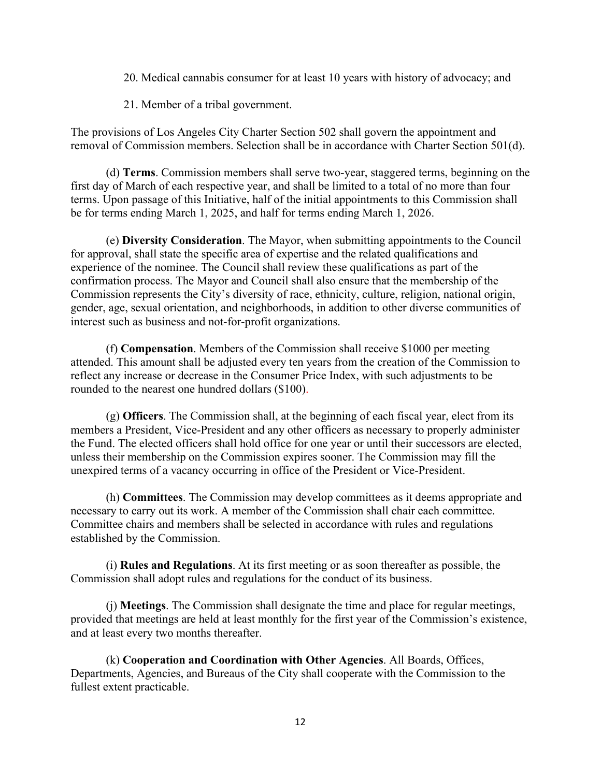- 20. Medical cannabis consumer for at least 10 years with history of advocacy; and
- 21. Member of a tribal government.

The provisions of Los Angeles City Charter Section 502 shall govern the appointment and removal of Commission members. Selection shall be in accordance with Charter Section 501(d).

(d) **Terms**. Commission members shall serve two-year, staggered terms, beginning on the first day of March of each respective year, and shall be limited to a total of no more than four terms. Upon passage of this Initiative, half of the initial appointments to this Commission shall be for terms ending March 1, 2025, and half for terms ending March 1, 2026.

(e) **Diversity Consideration**. The Mayor, when submitting appointments to the Council for approval, shall state the specific area of expertise and the related qualifications and experience of the nominee. The Council shall review these qualifications as part of the confirmation process. The Mayor and Council shall also ensure that the membership of the Commission represents the City's diversity of race, ethnicity, culture, religion, national origin, gender, age, sexual orientation, and neighborhoods, in addition to other diverse communities of interest such as business and not-for-profit organizations.

(f) **Compensation**. Members of the Commission shall receive \$1000 per meeting attended. This amount shall be adjusted every ten years from the creation of the Commission to reflect any increase or decrease in the Consumer Price Index, with such adjustments to be rounded to the nearest one hundred dollars (\$100).

(g) **Officers**. The Commission shall, at the beginning of each fiscal year, elect from its members a President, Vice-President and any other officers as necessary to properly administer the Fund. The elected officers shall hold office for one year or until their successors are elected, unless their membership on the Commission expires sooner. The Commission may fill the unexpired terms of a vacancy occurring in office of the President or Vice-President.

(h) **Committees**. The Commission may develop committees as it deems appropriate and necessary to carry out its work. A member of the Commission shall chair each committee. Committee chairs and members shall be selected in accordance with rules and regulations established by the Commission.

(i) **Rules and Regulations**. At its first meeting or as soon thereafter as possible, the Commission shall adopt rules and regulations for the conduct of its business.

(j) **Meetings**. The Commission shall designate the time and place for regular meetings, provided that meetings are held at least monthly for the first year of the Commission's existence, and at least every two months thereafter.

(k) **Cooperation and Coordination with Other Agencies**. All Boards, Offices, Departments, Agencies, and Bureaus of the City shall cooperate with the Commission to the fullest extent practicable.